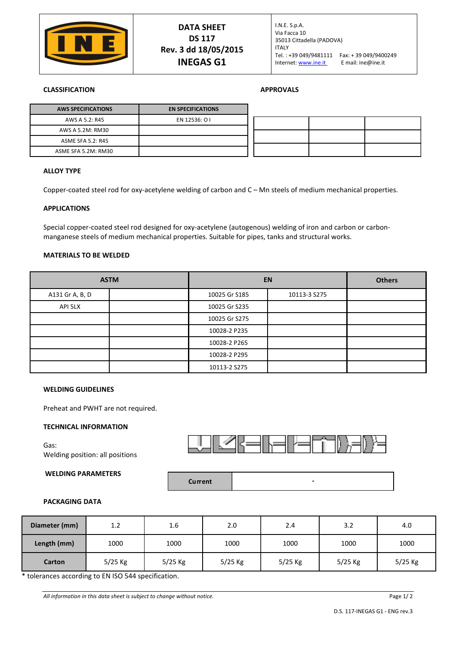

## **CLASSIFICATION APPROVALS**

| <b>AWS SPECIFICATIONS</b> | <b>EN SPECIFICATIONS</b> |
|---------------------------|--------------------------|
| AWS A 5.2: R45            | EN 12536: O I            |
| AWS A 5.2M: RM30          |                          |
| ASME SFA 5.2: R45         |                          |
| ASME SFA 5.2M: RM30       |                          |

### **ALLOY TYPE**

Copper-coated steel rod for oxy-acetylene welding of carbon and C – Mn steels of medium mechanical properties.

#### **APPLICATIONS**

Special copper-coated steel rod designed for oxy-acetylene (autogenous) welding of iron and carbon or carbonmanganese steels of medium mechanical properties. Suitable for pipes, tanks and structural works.

## **MATERIALS TO BE WELDED**

| <b>ASTM</b>     |  | <b>EN</b>     | <b>Others</b> |  |
|-----------------|--|---------------|---------------|--|
| A131 Gr A, B, D |  | 10025 Gr S185 | 10113-3 S275  |  |
| API 5LX         |  | 10025 Gr S235 |               |  |
|                 |  | 10025 Gr S275 |               |  |
|                 |  | 10028-2 P235  |               |  |
|                 |  | 10028-2 P265  |               |  |
|                 |  | 10028-2 P295  |               |  |
|                 |  | 10113-2 S275  |               |  |

#### **WELDING GUIDELINES**

Preheat and PWHT are not required.

## **TECHNICAL INFORMATION**

Gas: Welding position: all positions

## **WELDING PARAMETERS**





## **PACKAGING DATA**

| Diameter (mm) | 1.2       | 1.6       | 2.0     | 2.4     | 3.2       | 4.0     |
|---------------|-----------|-----------|---------|---------|-----------|---------|
| Length (mm)   | 1000      | 1000      | 1000    | 1000    | 1000      | 1000    |
| <b>Carton</b> | $5/25$ Kg | $5/25$ Kg | 5/25 Kg | 5/25 Kg | $5/25$ Kg | 5/25 Kg |

\* tolerances according to EN ISO 544 specification.

All information in this data sheet is subject to change without notice.